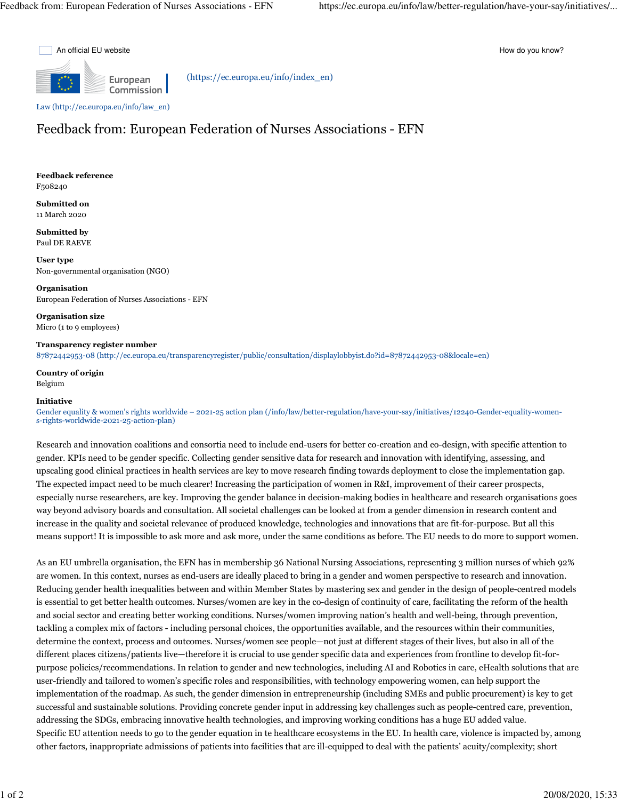



(https://ec.europa.eu/info/index\_en)

Law (http://ec.europa.eu/info/law\_en)

# Feedback from: European Federation of Nurses Associations - EFN

**Feedback reference** F508240

**Submitted on**

11 March 2020

**Submitted by** Paul DE RAEVE

**User type** Non-governmental organisation (NGO)

### **Organisation**

European Federation of Nurses Associations - EFN

**Organisation size** Micro (1 to 9 employees)

### **Transparency register number**

87872442953-08 (http://ec.europa.eu/transparencyregister/public/consultation/displaylobbyist.do?id=87872442953-08&locale=en)

**Country of origin** Belgium

#### **Initiative**

Gender equality & women's rights worldwide – 2021-25 action plan (/info/law/better-regulation/have-your-say/initiatives/12240-Gender-equality-womens-rights-worldwide-2021-25-action-plan)

Research and innovation coalitions and consortia need to include end-users for better co-creation and co-design, with specific attention to gender. KPIs need to be gender specific. Collecting gender sensitive data for research and innovation with identifying, assessing, and upscaling good clinical practices in health services are key to move research finding towards deployment to close the implementation gap. The expected impact need to be much clearer! Increasing the participation of women in R&I, improvement of their career prospects, especially nurse researchers, are key. Improving the gender balance in decision-making bodies in healthcare and research organisations goes way beyond advisory boards and consultation. All societal challenges can be looked at from a gender dimension in research content and increase in the quality and societal relevance of produced knowledge, technologies and innovations that are fit-for-purpose. But all this means support! It is impossible to ask more and ask more, under the same conditions as before. The EU needs to do more to support women.

As an EU umbrella organisation, the EFN has in membership 36 National Nursing Associations, representing 3 million nurses of which 92% are women. In this context, nurses as end-users are ideally placed to bring in a gender and women perspective to research and innovation. Reducing gender health inequalities between and within Member States by mastering sex and gender in the design of people-centred models is essential to get better health outcomes. Nurses/women are key in the co-design of continuity of care, facilitating the reform of the health and social sector and creating better working conditions. Nurses/women improving nation's health and well-being, through prevention, tackling a complex mix of factors - including personal choices, the opportunities available, and the resources within their communities, determine the context, process and outcomes. Nurses/women see people—not just at different stages of their lives, but also in all of the different places citizens/patients live—therefore it is crucial to use gender specific data and experiences from frontline to develop fit-forpurpose policies/recommendations. In relation to gender and new technologies, including AI and Robotics in care, eHealth solutions that are user-friendly and tailored to women's specific roles and responsibilities, with technology empowering women, can help support the implementation of the roadmap. As such, the gender dimension in entrepreneurship (including SMEs and public procurement) is key to get successful and sustainable solutions. Providing concrete gender input in addressing key challenges such as people-centred care, prevention, addressing the SDGs, embracing innovative health technologies, and improving working conditions has a huge EU added value. Specific EU attention needs to go to the gender equation in te healthcare ecosystems in the EU. In health care, violence is impacted by, among other factors, inappropriate admissions of patients into facilities that are ill-equipped to deal with the patients' acuity/complexity; short